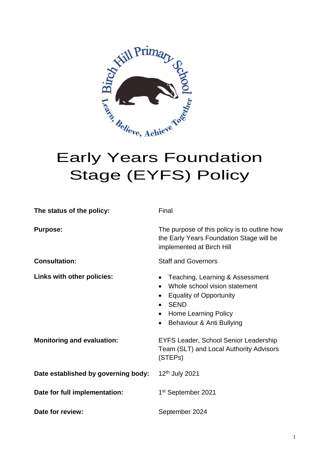

# Stage (EYFS) Policy

| The status of the policy:           | Final                                                                                                                                                                                                                                          |  |  |
|-------------------------------------|------------------------------------------------------------------------------------------------------------------------------------------------------------------------------------------------------------------------------------------------|--|--|
| <b>Purpose:</b>                     | The purpose of this policy is to outline how<br>the Early Years Foundation Stage will be<br>implemented at Birch Hill                                                                                                                          |  |  |
| <b>Consultation:</b>                | <b>Staff and Governors</b>                                                                                                                                                                                                                     |  |  |
| Links with other policies:          | Teaching, Learning & Assessment<br>$\bullet$<br>Whole school vision statement<br>$\bullet$<br><b>Equality of Opportunity</b><br>$\bullet$<br><b>SEND</b><br><b>Home Learning Policy</b><br>$\bullet$<br>Behaviour & Anti Bullying<br>$\bullet$ |  |  |
| <b>Monitoring and evaluation:</b>   | EYFS Leader, School Senior Leadership<br>Team (SLT) and Local Authority Advisors<br>(STEPs)                                                                                                                                                    |  |  |
| Date established by governing body: | 12 <sup>th</sup> July 2021                                                                                                                                                                                                                     |  |  |
| Date for full implementation:       | 1 <sup>st</sup> September 2021                                                                                                                                                                                                                 |  |  |
| Date for review:                    | September 2024                                                                                                                                                                                                                                 |  |  |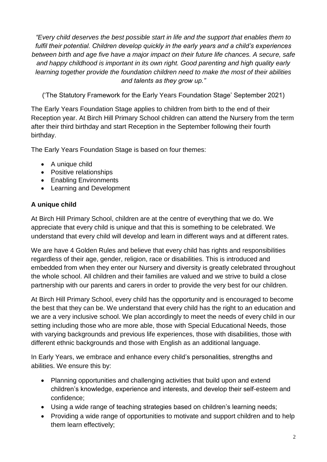*"Every child deserves the best possible start in life and the support that enables them to fulfil their potential. Children develop quickly in the early years and a child's experiences between birth and age five have a major impact on their future life chances. A secure, safe and happy childhood is important in its own right. Good parenting and high quality early learning together provide the foundation children need to make the most of their abilities and talents as they grow up."*

('The Statutory Framework for the Early Years Foundation Stage' September 2021)

The Early Years Foundation Stage applies to children from birth to the end of their Reception year. At Birch Hill Primary School children can attend the Nursery from the term after their third birthday and start Reception in the September following their fourth birthday.

The Early Years Foundation Stage is based on four themes:

- A unique child
- Positive relationships
- Enabling Environments
- Learning and Development

# **A unique child**

At Birch Hill Primary School, children are at the centre of everything that we do. We appreciate that every child is unique and that this is something to be celebrated. We understand that every child will develop and learn in different ways and at different rates.

We are have 4 Golden Rules and believe that every child has rights and responsibilities regardless of their age, gender, religion, race or disabilities. This is introduced and embedded from when they enter our Nursery and diversity is greatly celebrated throughout the whole school. All children and their families are valued and we strive to build a close partnership with our parents and carers in order to provide the very best for our children.

At Birch Hill Primary School, every child has the opportunity and is encouraged to become the best that they can be. We understand that every child has the right to an education and we are a very inclusive school. We plan accordingly to meet the needs of every child in our setting including those who are more able, those with Special Educational Needs, those with varying backgrounds and previous life experiences, those with disabilities, those with different ethnic backgrounds and those with English as an additional language.

In Early Years, we embrace and enhance every child's personalities, strengths and abilities. We ensure this by:

- Planning opportunities and challenging activities that build upon and extend children's knowledge, experience and interests, and develop their self-esteem and confidence;
- Using a wide range of teaching strategies based on children's learning needs;
- Providing a wide range of opportunities to motivate and support children and to help them learn effectively;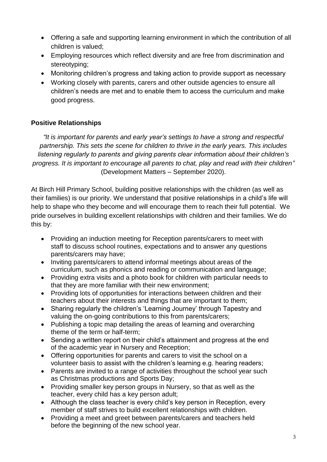- Offering a safe and supporting learning environment in which the contribution of all children is valued;
- Employing resources which reflect diversity and are free from discrimination and stereotyping;
- Monitoring children's progress and taking action to provide support as necessary
- Working closely with parents, carers and other outside agencies to ensure all children's needs are met and to enable them to access the curriculum and make good progress.

# **Positive Relationships**

*"It is important for parents and early year's settings to have a strong and respectful partnership. This sets the scene for children to thrive in the early years. This includes listening regularly to parents and giving parents clear information about their children's progress. It is important to encourage all parents to chat, play and read with their children"* (Development Matters – September 2020).

At Birch Hill Primary School, building positive relationships with the children (as well as their families) is our priority. We understand that positive relationships in a child's life will help to shape who they become and will encourage them to reach their full potential. We pride ourselves in building excellent relationships with children and their families. We do this by:

- Providing an induction meeting for Reception parents/carers to meet with staff to discuss school routines, expectations and to answer any questions parents/carers may have;
- Inviting parents/carers to attend informal meetings about areas of the curriculum, such as phonics and reading or communication and language;
- Providing extra visits and a photo book for children with particular needs to that they are more familiar with their new environment;
- Providing lots of opportunities for interactions between children and their teachers about their interests and things that are important to them;
- Sharing regularly the children's 'Learning Journey' through Tapestry and valuing the on-going contributions to this from parents/carers;
- Publishing a topic map detailing the areas of learning and overarching theme of the term or half-term;
- Sending a written report on their child's attainment and progress at the end of the academic year in Nursery and Reception;
- Offering opportunities for parents and carers to visit the school on a volunteer basis to assist with the children's learning e.g. hearing readers;
- Parents are invited to a range of activities throughout the school year such as Christmas productions and Sports Day;
- Providing smaller key person groups in Nursery, so that as well as the teacher, every child has a key person adult;
- Although the class teacher is every child's key person in Reception, every member of staff strives to build excellent relationships with children.
- Providing a meet and greet between parents/carers and teachers held before the beginning of the new school year.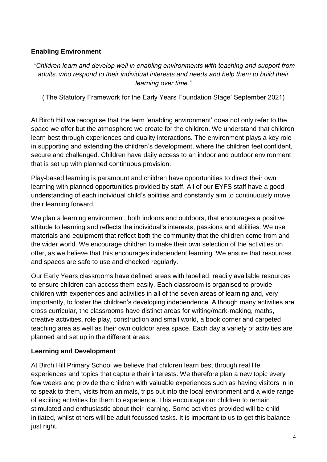# **Enabling Environment**

*"Children learn and develop well in enabling environments with teaching and support from adults, who respond to their individual interests and needs and help them to build their learning over time."*

('The Statutory Framework for the Early Years Foundation Stage' September 2021)

At Birch Hill we recognise that the term 'enabling environment' does not only refer to the space we offer but the atmosphere we create for the children. We understand that children learn best through experiences and quality interactions. The environment plays a key role in supporting and extending the children's development, where the children feel confident, secure and challenged. Children have daily access to an indoor and outdoor environment that is set up with planned continuous provision.

Play-based learning is paramount and children have opportunities to direct their own learning with planned opportunities provided by staff. All of our EYFS staff have a good understanding of each individual child's abilities and constantly aim to continuously move their learning forward.

We plan a learning environment, both indoors and outdoors, that encourages a positive attitude to learning and reflects the individual's interests, passions and abilities. We use materials and equipment that reflect both the community that the children come from and the wider world. We encourage children to make their own selection of the activities on offer, as we believe that this encourages independent learning. We ensure that resources and spaces are safe to use and checked regularly.

Our Early Years classrooms have defined areas with labelled, readily available resources to ensure children can access them easily. Each classroom is organised to provide children with experiences and activities in all of the seven areas of learning and, very importantly, to foster the children's developing independence. Although many activities are cross curricular, the classrooms have distinct areas for writing/mark-making, maths, creative activities, role play, construction and small world, a book corner and carpeted teaching area as well as their own outdoor area space. Each day a variety of activities are planned and set up in the different areas.

# **Learning and Development**

At Birch Hill Primary School we believe that children learn best through real life experiences and topics that capture their interests. We therefore plan a new topic every few weeks and provide the children with valuable experiences such as having visitors in in to speak to them, visits from animals, trips out into the local environment and a wide range of exciting activities for them to experience. This encourage our children to remain stimulated and enthusiastic about their learning. Some activities provided will be child initiated, whilst others will be adult focussed tasks. It is important to us to get this balance just right.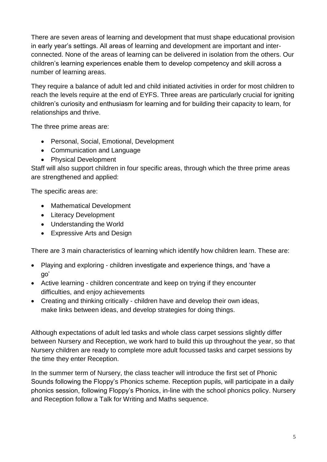There are seven areas of learning and development that must shape educational provision in early year's settings. All areas of learning and development are important and interconnected. None of the areas of learning can be delivered in isolation from the others. Our children's learning experiences enable them to develop competency and skill across a number of learning areas.

They require a balance of adult led and child initiated activities in order for most children to reach the levels require at the end of EYFS. Three areas are particularly crucial for igniting children's curiosity and enthusiasm for learning and for building their capacity to learn, for relationships and thrive.

The three prime areas are:

- Personal, Social, Emotional, Development
- Communication and Language
- Physical Development

Staff will also support children in four specific areas, through which the three prime areas are strengthened and applied:

The specific areas are:

- Mathematical Development
- Literacy Development
- Understanding the World
- Expressive Arts and Design

There are 3 main characteristics of learning which identify how children learn. These are:

- Playing and exploring children investigate and experience things, and 'have a go'
- Active learning children concentrate and keep on trying if they encounter difficulties, and enjoy achievements
- Creating and thinking critically children have and develop their own ideas, make links between ideas, and develop strategies for doing things.

Although expectations of adult led tasks and whole class carpet sessions slightly differ between Nursery and Reception, we work hard to build this up throughout the year, so that Nursery children are ready to complete more adult focussed tasks and carpet sessions by the time they enter Reception.

In the summer term of Nursery, the class teacher will introduce the first set of Phonic Sounds following the Floppy's Phonics scheme. Reception pupils, will participate in a daily phonics session, following Floppy's Phonics, in-line with the school phonics policy. Nursery and Reception follow a Talk for Writing and Maths sequence.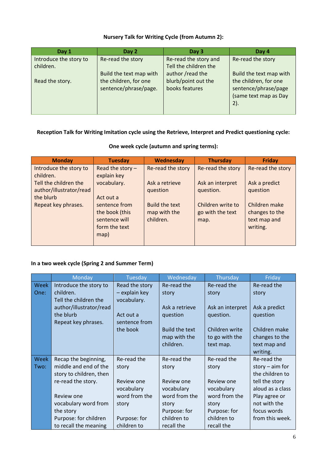#### **Nursery Talk for Writing Cycle (from Autumn 2):**

| Day 1                               | Day 2                                          | Day 3                                          | Day 4                                                                         |
|-------------------------------------|------------------------------------------------|------------------------------------------------|-------------------------------------------------------------------------------|
| Introduce the story to<br>children. | Re-read the story                              | Re-read the story and<br>Tell the children the | Re-read the story                                                             |
|                                     | Build the text map with                        | author /read the                               | Build the text map with                                                       |
| Read the story.                     | the children, for one<br>sentence/phrase/page. | blurb/point out the<br>books features          | the children, for one<br>sentence/phrase/page<br>(same text map as Day<br>2). |

# **Reception Talk for Writing Imitation cycle using the Retrieve, Interpret and Predict questioning cycle:**

| <b>Monday</b>           | <b>Tuesday</b>     | Wednesday             | <b>Thursday</b>   | <b>Friday</b>     |
|-------------------------|--------------------|-----------------------|-------------------|-------------------|
| Introduce the story to  | Read the story $-$ | Re-read the story     | Re-read the story | Re-read the story |
| children.               | explain key        |                       |                   |                   |
| Tell the children the   | vocabulary.        | Ask a retrieve        | Ask an interpret  | Ask a predict     |
| author/illustrator/read |                    | question              | question.         | question          |
| the blurb               | Act out a          |                       |                   |                   |
| Repeat key phrases.     | sentence from      | <b>Build the text</b> | Children write to | Children make     |
|                         | the book (this     | map with the          | go with the text  | changes to the    |
|                         | sentence will      | children.             | map.              | text map and      |
|                         | form the text      |                       |                   | writing.          |
|                         | map)               |                       |                   |                   |
|                         |                    |                       |                   |                   |

### **In a two week cycle (Spring 2 and Summer Term)**

|             | Monday                             | Tuesday                      | Wednesday      | Thursday         | Friday            |
|-------------|------------------------------------|------------------------------|----------------|------------------|-------------------|
| <b>Week</b> | Introduce the story to             | Read the story               | Re-read the    | Re-read the      | Re-read the       |
| One:        | children.<br>Tell the children the | - explain key<br>vocabulary. | story          | story            | story             |
|             | author/illustrator/read            |                              | Ask a retrieve | Ask an interpret | Ask a predict     |
|             | the blurb                          | Act out a                    | question       | question.        | question          |
|             | Repeat key phrases.                | sentence from                |                |                  |                   |
|             |                                    | the book                     | Build the text | Children write   | Children make     |
|             |                                    |                              | map with the   | to go with the   | changes to the    |
|             |                                    |                              | children.      | text map.        | text map and      |
|             |                                    |                              |                |                  | writing.          |
| <b>Week</b> | Recap the beginning,               | Re-read the                  | Re-read the    | Re-read the      | Re-read the       |
| Two:        | middle and end of the              | story                        | story          | story            | story $-$ aim for |
|             | story to children, then            |                              |                |                  | the children to   |
|             | re-read the story.                 | Review one                   | Review one     | Review one       | tell the story    |
|             |                                    | vocabulary                   | vocabulary     | vocabulary       | aloud as a class  |
|             | Review one                         | word from the                | word from the  | word from the    | Play agree or     |
|             | vocabulary word from               | story                        | story          | story            | not with the      |
|             | the story                          |                              | Purpose: for   | Purpose: for     | focus words       |
|             | Purpose: for children              | Purpose: for                 | children to    | children to      | from this week.   |
|             | to recall the meaning              | children to                  | recall the     | recall the       |                   |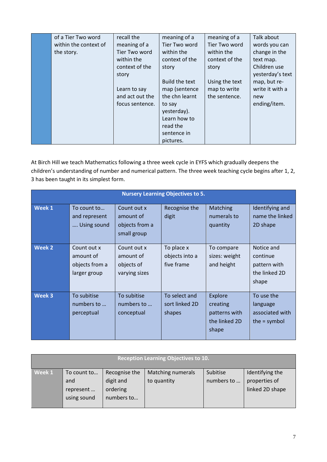| of a Tier Two word    | recall the      | meaning of a   | meaning of a   | Talk about       |
|-----------------------|-----------------|----------------|----------------|------------------|
| within the context of | meaning of a    | Tier Two word  | Tier Two word  | words you can    |
| the story.            | Tier Two word   | within the     | within the     | change in the    |
|                       | within the      | context of the | context of the | text map.        |
|                       | context of the  | story          | story          | Children use     |
|                       | story           |                |                | yesterday's text |
|                       |                 | Build the text | Using the text | map, but re-     |
|                       | Learn to say    | map (sentence  | map to write   | write it with a  |
|                       | and act out the | the chn learnt | the sentence.  | new              |
|                       | focus sentence. | to say         |                | ending/item.     |
|                       |                 | yesterday).    |                |                  |
|                       |                 | Learn how to   |                |                  |
|                       |                 | read the       |                |                  |
|                       |                 | sentence in    |                |                  |
|                       |                 | pictures.      |                |                  |

At Birch Hill we teach Mathematics following a three week cycle in EYFS which gradually deepens the children's understanding of number and numerical pattern. The three week teaching cycle begins after 1, 2, 3 has been taught in its simplest form.

| <b>Nursery Learning Objectives to 5.</b> |                                                            |                                                           |                                            |                                                                       |                                                                  |  |
|------------------------------------------|------------------------------------------------------------|-----------------------------------------------------------|--------------------------------------------|-----------------------------------------------------------------------|------------------------------------------------------------------|--|
| <b>Week 1</b>                            | To count to<br>and represent<br>Using sound                | Count out x<br>amount of<br>objects from a<br>small group | Recognise the<br>digit                     | Matching<br>numerals to<br>quantity                                   | Identifying and<br>name the linked<br>2D shape                   |  |
| <b>Week 2</b>                            | Count out x<br>amount of<br>objects from a<br>larger group | Count out x<br>amount of<br>objects of<br>varying sizes   | To place x<br>objects into a<br>five frame | To compare<br>sizes: weight<br>and height                             | Notice and<br>continue<br>pattern with<br>the linked 2D<br>shape |  |
| Week 3                                   | To subitise<br>numbers to<br>perceptual                    | To subitise<br>numbers to<br>conceptual                   | To select and<br>sort linked 2D<br>shapes  | <b>Explore</b><br>creating<br>patterns with<br>the linked 2D<br>shape | To use the<br>language<br>associated with<br>the $=$ symbol      |  |

| <b>Reception Learning Objectives to 10.</b> |             |               |                   |            |                 |  |  |
|---------------------------------------------|-------------|---------------|-------------------|------------|-----------------|--|--|
|                                             |             |               |                   |            |                 |  |  |
| Week 1                                      | To count to | Recognise the | Matching numerals | Subitise   | Identifying the |  |  |
|                                             | and         | digit and     | to quantity       | numbers to | properties of   |  |  |
|                                             | represent   | ordering      |                   |            | linked 2D shape |  |  |
|                                             | using sound | numbers to    |                   |            |                 |  |  |
|                                             |             |               |                   |            |                 |  |  |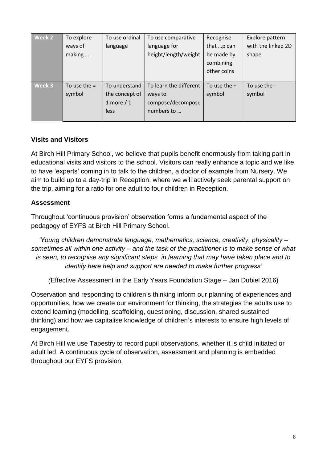| <b>Week 2</b> | To explore     | To use ordinal | To use comparative     | Recognise      | Explore pattern    |
|---------------|----------------|----------------|------------------------|----------------|--------------------|
|               | ways of        | language       | language for           | that p can     | with the linked 2D |
|               | making         |                | height/length/weight   | be made by     | shape              |
|               |                |                |                        | combining      |                    |
|               |                |                |                        | other coins    |                    |
|               |                |                |                        |                |                    |
| Week 3        | To use the $=$ | To understand  | To learn the different | To use the $+$ | To use the -       |
|               | symbol         | the concept of | ways to                | symbol         | symbol             |
|               |                | 1 more $/1$    | compose/decompose      |                |                    |
|               |                | less           | numbers to             |                |                    |
|               |                |                |                        |                |                    |

# **Visits and Visitors**

At Birch Hill Primary School, we believe that pupils benefit enormously from taking part in educational visits and visitors to the school. Visitors can really enhance a topic and we like to have 'experts' coming in to talk to the children, a doctor of example from Nursery. We aim to build up to a day-trip in Reception, where we will actively seek parental support on the trip, aiming for a ratio for one adult to four children in Reception.

#### **Assessment**

Throughout 'continuous provision' observation forms a fundamental aspect of the pedagogy of EYFS at Birch Hill Primary School.

*'Young children demonstrate language, mathematics, science, creativity, physicality – sometimes all within one activity – and the task of the practitioner is to make sense of what is seen, to recognise any significant steps in learning that may have taken place and to identify here help and support are needed to make further progress'*

*(*Effective Assessment in the Early Years Foundation Stage – Jan Dubiel 2016)

Observation and responding to children's thinking inform our planning of experiences and opportunities, how we create our environment for thinking, the strategies the adults use to extend learning (modelling, scaffolding, questioning, discussion, shared sustained thinking) and how we capitalise knowledge of children's interests to ensure high levels of engagement.

At Birch Hill we use Tapestry to record pupil observations, whether it is child initiated or adult led. A continuous cycle of observation, assessment and planning is embedded throughout our EYFS provision.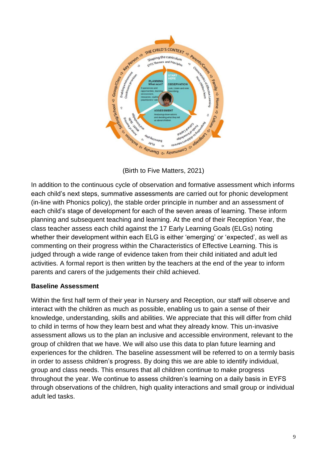

(Birth to Five Matters, 2021)

In addition to the continuous cycle of observation and formative assessment which informs each child's next steps, summative assessments are carried out for phonic development (in-line with Phonics policy), the stable order principle in number and an assessment of each child's stage of development for each of the seven areas of learning. These inform planning and subsequent teaching and learning. At the end of their Reception Year, the class teacher assess each child against the 17 Early Learning Goals (ELGs) noting whether their development within each ELG is either 'emerging' or 'expected', as well as commenting on their progress within the Characteristics of Effective Learning. This is judged through a wide range of evidence taken from their child initiated and adult led activities. A formal report is then written by the teachers at the end of the year to inform parents and carers of the judgements their child achieved.

#### **Baseline Assessment**

Within the first half term of their year in Nursery and Reception, our staff will observe and interact with the children as much as possible, enabling us to gain a sense of their knowledge, understanding, skills and abilities. We appreciate that this will differ from child to child in terms of how they learn best and what they already know. This un-invasive assessment allows us to the plan an inclusive and accessible environment, relevant to the group of children that we have. We will also use this data to plan future learning and experiences for the children. The baseline assessment will be referred to on a termly basis in order to assess children's progress. By doing this we are able to identify individual, group and class needs. This ensures that all children continue to make progress throughout the year. We continue to assess children's learning on a daily basis in EYFS through observations of the children, high quality interactions and small group or individual adult led tasks.